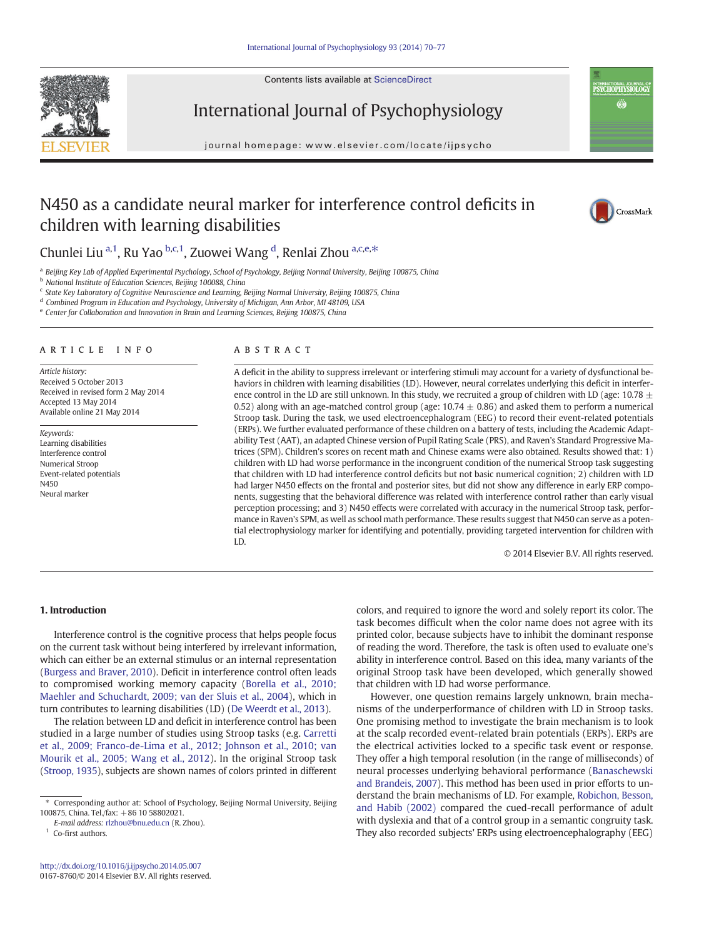

Contents lists available at ScienceDirect

# International Journal of Psychophysiology

journal homepage: www.elsevier.com/locate/ijpsycho

# N450 as a candidate neural marker for interference control deficits in children with learning disabilities



INTERNATIONAL JOURNAL (<br>**PSYCHOPHYSIOLOG** Ġ.

## Chunlei Liu <sup>a, 1</sup>, Ru Yao <sup>b, c, 1</sup>, Zuowei Wang <sup>d</sup>, Renlai Zhou <sup>a, c, e, \*</sup>

<sup>a</sup> Beijing Key Lab of Applied Experimental Psychology, School of Psychology, Beijing Normal University, Beijing 100875, China

**b** National Institute of Education Sciences, Beijing 100088, China

<sup>c</sup> State Key Laboratory of Cognitive Neuroscience and Learning, Beijing Normal University, Beijing 100875, China

<sup>d</sup> Combined Program in Education and Psychology, University of Michigan, Ann Arbor, MI 48109, USA

e Center for Collaboration and Innovation in Brain and Learning Sciences, Beijing 100875, China

#### article info abstract

Article history: Received 5 October 2013 Received in revised form 2 May 2014 Accepted 13 May 2014 Available online 21 May 2014

Keywords: Learning disabilities Interference control Numerical Stroop Event-related potentials N450 Neural marker

A deficit in the ability to suppress irrelevant or interfering stimuli may account for a variety of dysfunctional behaviors in children with learning disabilities (LD). However, neural correlates underlying this deficit in interference control in the LD are still unknown. In this study, we recruited a group of children with LD (age: 10.78  $\pm$ 0.52) along with an age-matched control group (age:  $10.74 \pm 0.86$ ) and asked them to perform a numerical Stroop task. During the task, we used electroencephalogram (EEG) to record their event-related potentials (ERPs). We further evaluated performance of these children on a battery of tests, including the Academic Adaptability Test (AAT), an adapted Chinese version of Pupil Rating Scale (PRS), and Raven's Standard Progressive Matrices (SPM). Children's scores on recent math and Chinese exams were also obtained. Results showed that: 1) children with LD had worse performance in the incongruent condition of the numerical Stroop task suggesting that children with LD had interference control deficits but not basic numerical cognition; 2) children with LD had larger N450 effects on the frontal and posterior sites, but did not show any difference in early ERP components, suggesting that the behavioral difference was related with interference control rather than early visual perception processing; and 3) N450 effects were correlated with accuracy in the numerical Stroop task, performance in Raven's SPM, as well as school math performance. These results suggest that N450 can serve as a potential electrophysiology marker for identifying and potentially, providing targeted intervention for children with LD.

© 2014 Elsevier B.V. All rights reserved.

### 1. Introduction

Interference control is the cognitive process that helps people focus on the current task without being interfered by irrelevant information, which can either be an external stimulus or an internal representation [\(Burgess and Braver, 2010\)](#page--1-0). Deficit in interference control often leads to compromised working memory capacity [\(Borella et al., 2010;](#page--1-0) [Maehler and Schuchardt, 2009; van der Sluis et al., 2004](#page--1-0)), which in turn contributes to learning disabilities (LD) ([De Weerdt et al., 2013\)](#page--1-0).

The relation between LD and deficit in interference control has been studied in a large number of studies using Stroop tasks (e.g. [Carretti](#page--1-0) [et al., 2009; Franco-de-Lima et al., 2012; Johnson et al., 2010; van](#page--1-0) [Mourik et al., 2005; Wang et al., 2012\)](#page--1-0). In the original Stroop task [\(Stroop, 1935](#page--1-0)), subjects are shown names of colors printed in different

E-mail address: [rlzhou@bnu.edu.cn](mailto:rlzhou@bnu.edu.cn) (R. Zhou).

<sup>1</sup> Co-first authors.

colors, and required to ignore the word and solely report its color. The task becomes difficult when the color name does not agree with its printed color, because subjects have to inhibit the dominant response of reading the word. Therefore, the task is often used to evaluate one's ability in interference control. Based on this idea, many variants of the original Stroop task have been developed, which generally showed that children with LD had worse performance.

However, one question remains largely unknown, brain mechanisms of the underperformance of children with LD in Stroop tasks. One promising method to investigate the brain mechanism is to look at the scalp recorded event-related brain potentials (ERPs). ERPs are the electrical activities locked to a specific task event or response. They offer a high temporal resolution (in the range of milliseconds) of neural processes underlying behavioral performance [\(Banaschewski](#page--1-0) [and Brandeis, 2007\)](#page--1-0). This method has been used in prior efforts to understand the brain mechanisms of LD. For example, [Robichon, Besson,](#page--1-0) [and Habib \(2002\)](#page--1-0) compared the cued-recall performance of adult with dyslexia and that of a control group in a semantic congruity task. They also recorded subjects' ERPs using electroencephalography (EEG)

<sup>⁎</sup> Corresponding author at: School of Psychology, Beijing Normal University, Beijing 100875, China. Tel./fax: +86 10 58802021.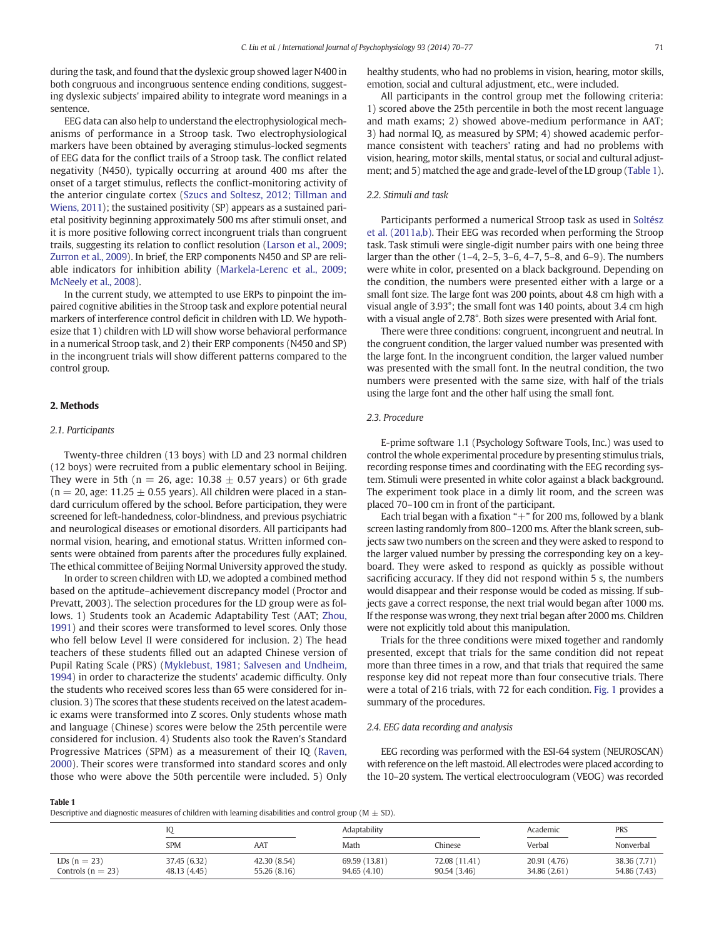during the task, and found that the dyslexic group showed lager N400 in both congruous and incongruous sentence ending conditions, suggesting dyslexic subjects' impaired ability to integrate word meanings in a sentence.

EEG data can also help to understand the electrophysiological mechanisms of performance in a Stroop task. Two electrophysiological markers have been obtained by averaging stimulus-locked segments of EEG data for the conflict trails of a Stroop task. The conflict related negativity (N450), typically occurring at around 400 ms after the onset of a target stimulus, reflects the conflict-monitoring activity of the anterior cingulate cortex ([Szucs and Soltesz, 2012; Tillman and](#page--1-0) [Wiens, 2011\)](#page--1-0); the sustained positivity (SP) appears as a sustained parietal positivity beginning approximately 500 ms after stimuli onset, and it is more positive following correct incongruent trials than congruent trails, suggesting its relation to conflict resolution ([Larson et al., 2009;](#page--1-0) [Zurron et al., 2009](#page--1-0)). In brief, the ERP components N450 and SP are reliable indicators for inhibition ability [\(Markela-Lerenc et al., 2009;](#page--1-0) [McNeely et al., 2008](#page--1-0)).

In the current study, we attempted to use ERPs to pinpoint the impaired cognitive abilities in the Stroop task and explore potential neural markers of interference control deficit in children with LD. We hypothesize that 1) children with LD will show worse behavioral performance in a numerical Stroop task, and 2) their ERP components (N450 and SP) in the incongruent trials will show different patterns compared to the control group.

#### 2. Methods

#### 2.1. Participants

Twenty-three children (13 boys) with LD and 23 normal children (12 boys) were recruited from a public elementary school in Beijing. They were in 5th ( $n = 26$ , age: 10.38  $\pm$  0.57 years) or 6th grade  $(n = 20, age: 11.25 \pm 0.55$  years). All children were placed in a standard curriculum offered by the school. Before participation, they were screened for left-handedness, color-blindness, and previous psychiatric and neurological diseases or emotional disorders. All participants had normal vision, hearing, and emotional status. Written informed consents were obtained from parents after the procedures fully explained. The ethical committee of Beijing Normal University approved the study.

In order to screen children with LD, we adopted a combined method based on the aptitude–achievement discrepancy model (Proctor and Prevatt, 2003). The selection procedures for the LD group were as follows. 1) Students took an Academic Adaptability Test (AAT; [Zhou,](#page--1-0) [1991\)](#page--1-0) and their scores were transformed to level scores. Only those who fell below Level II were considered for inclusion. 2) The head teachers of these students filled out an adapted Chinese version of Pupil Rating Scale (PRS) [\(Myklebust, 1981; Salvesen and Undheim,](#page--1-0) [1994\)](#page--1-0) in order to characterize the students' academic difficulty. Only the students who received scores less than 65 were considered for inclusion. 3) The scores that these students received on the latest academic exams were transformed into Z scores. Only students whose math and language (Chinese) scores were below the 25th percentile were considered for inclusion. 4) Students also took the Raven's Standard Progressive Matrices (SPM) as a measurement of their IQ [\(Raven,](#page--1-0) [2000\)](#page--1-0). Their scores were transformed into standard scores and only those who were above the 50th percentile were included. 5) Only healthy students, who had no problems in vision, hearing, motor skills, emotion, social and cultural adjustment, etc., were included.

All participants in the control group met the following criteria: 1) scored above the 25th percentile in both the most recent language and math exams; 2) showed above-medium performance in AAT; 3) had normal IQ, as measured by SPM; 4) showed academic performance consistent with teachers' rating and had no problems with vision, hearing, motor skills, mental status, or social and cultural adjustment; and 5) matched the age and grade-level of the LD group (Table 1).

#### 2.2. Stimuli and task

Participants performed a numerical Stroop task as used in [Soltész](#page--1-0) [et al. \(2011a,b\)](#page--1-0). Their EEG was recorded when performing the Stroop task. Task stimuli were single-digit number pairs with one being three larger than the other (1–4, 2–5, 3–6, 4–7, 5–8, and 6–9). The numbers were white in color, presented on a black background. Depending on the condition, the numbers were presented either with a large or a small font size. The large font was 200 points, about 4.8 cm high with a visual angle of 3.93°; the small font was 140 points, about 3.4 cm high with a visual angle of 2.78°. Both sizes were presented with Arial font.

There were three conditions: congruent, incongruent and neutral. In the congruent condition, the larger valued number was presented with the large font. In the incongruent condition, the larger valued number was presented with the small font. In the neutral condition, the two numbers were presented with the same size, with half of the trials using the large font and the other half using the small font.

#### 2.3. Procedure

E-prime software 1.1 (Psychology Software Tools, Inc.) was used to control the whole experimental procedure by presenting stimulus trials, recording response times and coordinating with the EEG recording system. Stimuli were presented in white color against a black background. The experiment took place in a dimly lit room, and the screen was placed 70–100 cm in front of the participant.

Each trial began with a fixation " $+$ " for 200 ms, followed by a blank screen lasting randomly from 800–1200 ms. After the blank screen, subjects saw two numbers on the screen and they were asked to respond to the larger valued number by pressing the corresponding key on a keyboard. They were asked to respond as quickly as possible without sacrificing accuracy. If they did not respond within 5 s, the numbers would disappear and their response would be coded as missing. If subjects gave a correct response, the next trial would began after 1000 ms. If the response was wrong, they next trial began after 2000 ms. Children were not explicitly told about this manipulation.

Trials for the three conditions were mixed together and randomly presented, except that trials for the same condition did not repeat more than three times in a row, and that trials that required the same response key did not repeat more than four consecutive trials. There were a total of 216 trials, with 72 for each condition. [Fig. 1](#page--1-0) provides a summary of the procedures.

#### 2.4. EEG data recording and analysis

EEG recording was performed with the ESI-64 system (NEUROSCAN) with reference on the left mastoid. All electrodes were placed according to the 10–20 system. The vertical electrooculogram (VEOG) was recorded

Table 1

Descriptive and diagnostic measures of children with learning disabilities and control group ( $M \pm SD$ ).

|                                        | IQ                           |                              | Adaptability                  |                               | Academic                     | PRS<br><b>Communication</b>  |
|----------------------------------------|------------------------------|------------------------------|-------------------------------|-------------------------------|------------------------------|------------------------------|
|                                        | <b>SPM</b>                   | AAT                          | Math                          | <b>Chinese</b>                | Verbal                       | Nonverbal                    |
| $LDs(n = 23)$<br>Controls ( $n = 23$ ) | 37.45 (6.32)<br>48.13 (4.45) | 42.30 (8.54)<br>55.26 (8.16) | 69.59 (13.81)<br>94.65 (4.10) | 72.08 (11.41)<br>90.54 (3.46) | 20.91 (4.76)<br>34.86 (2.61) | 38.36 (7.71)<br>54.86 (7.43) |